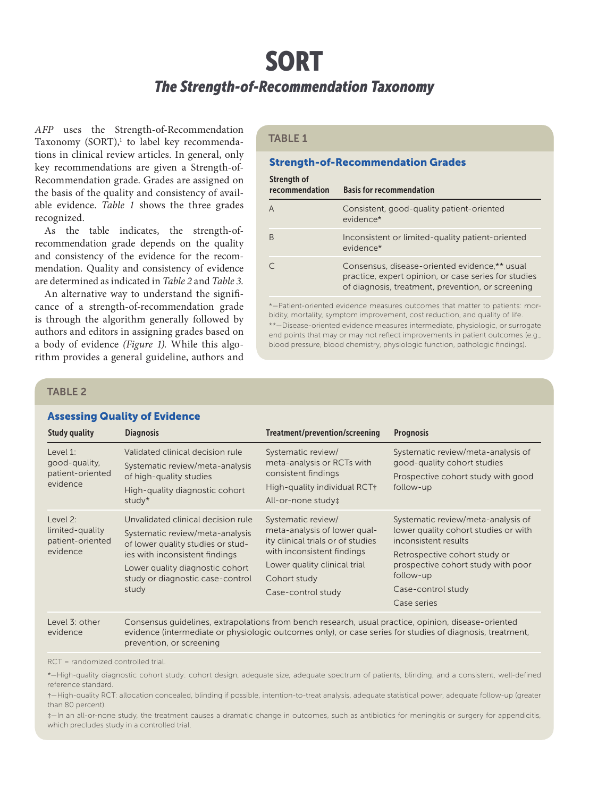# SORT

# *The Strength-of-Recommendation Taxonomy*

*AFP* uses the Strength-of-Recommendation Taxonomy (SORT),<sup>1</sup> to label key recommendations in clinical review articles. In general, only key recommendations are given a Strength-of-Recommendation grade. Grades are assigned on the basis of the quality and consistency of available evidence. *Table 1* shows the three grades recognized.

As the table indicates, the strength-ofrecommendation grade depends on the quality and consistency of the evidence for the recommendation. Quality and consistency of evidence are determined as indicated in *Table 2* and *Table 3.*

An alternative way to understand the significance of a strength-of-recommendation grade is through the algorithm generally followed by authors and editors in assigning grades based on a body of evidence *(Figure 1).* While this algorithm provides a general guideline, authors and

# TABLE 1

#### Strength-of-Recommendation Grades

| Strength of<br>recommendation | <b>Basis for recommendation</b>                                                                                                                            |
|-------------------------------|------------------------------------------------------------------------------------------------------------------------------------------------------------|
|                               | Consistent, good-quality patient-oriented<br>evidence*                                                                                                     |
| B                             | Inconsistent or limited-quality patient-oriented<br>evidence*                                                                                              |
|                               | Consensus, disease-oriented evidence,** usual<br>practice, expert opinion, or case series for studies<br>of diagnosis, treatment, prevention, or screening |
|                               |                                                                                                                                                            |

\*—Patient-oriented evidence measures outcomes that matter to patients: morbidity, mortality, symptom improvement, cost reduction, and quality of life. \*\*—Disease-oriented evidence measures intermediate, physiologic, or surrogate end points that may or may not reflect improvements in patient outcomes (e.g., blood pressure, blood chemistry, physiologic function, pathologic findings).

### TABLE 2

# Assessing Quality of Evidence

| <b>Study quality</b>                                           | <b>Diagnosis</b>                                                                                                                                                                                                             | Treatment/prevention/screening                                                                                                                                                              | <b>Prognosis</b>                                                                                                                                                                                                            |
|----------------------------------------------------------------|------------------------------------------------------------------------------------------------------------------------------------------------------------------------------------------------------------------------------|---------------------------------------------------------------------------------------------------------------------------------------------------------------------------------------------|-----------------------------------------------------------------------------------------------------------------------------------------------------------------------------------------------------------------------------|
| Level $1$ :<br>good-quality,<br>patient-oriented<br>evidence   | Validated clinical decision rule<br>Systematic review/meta-analysis<br>of high-quality studies<br>High-quality diagnostic cohort<br>study*                                                                                   | Systematic review/<br>meta-analysis or RCTs with<br>consistent findings<br>High-quality individual RCT+<br>All-or-none study‡                                                               | Systematic review/meta-analysis of<br>good-quality cohort studies<br>Prospective cohort study with good<br>follow-up                                                                                                        |
| Level $2$ :<br>limited-quality<br>patient-oriented<br>evidence | Unvalidated clinical decision rule<br>Systematic review/meta-analysis<br>of lower quality studies or stud-<br>ies with inconsistent findings<br>Lower quality diagnostic cohort<br>study or diagnostic case-control<br>study | Systematic review/<br>meta-analysis of lower qual-<br>ity clinical trials or of studies<br>with inconsistent findings<br>Lower quality clinical trial<br>Cohort study<br>Case-control study | Systematic review/meta-analysis of<br>lower quality cohort studies or with<br>inconsistent results<br>Retrospective cohort study or<br>prospective cohort study with poor<br>follow-up<br>Case-control study<br>Case series |

Level 3: other evidence Consensus guidelines, extrapolations from bench research, usual practice, opinion, disease-oriented evidence (intermediate or physiologic outcomes only), or case series for studies of diagnosis, treatment, prevention, or screening

RCT = randomized controlled trial.

\*—High-quality diagnostic cohort study: cohort design, adequate size, adequate spectrum of patients, blinding, and a consistent, well-defined reference standard.

†—High-quality RCT: allocation concealed, blinding if possible, intention-to-treat analysis, adequate statistical power, adequate follow-up (greater than 80 percent).

‡—In an all-or-none study, the treatment causes a dramatic change in outcomes, such as antibiotics for meningitis or surgery for appendicitis, which precludes study in a controlled trial.